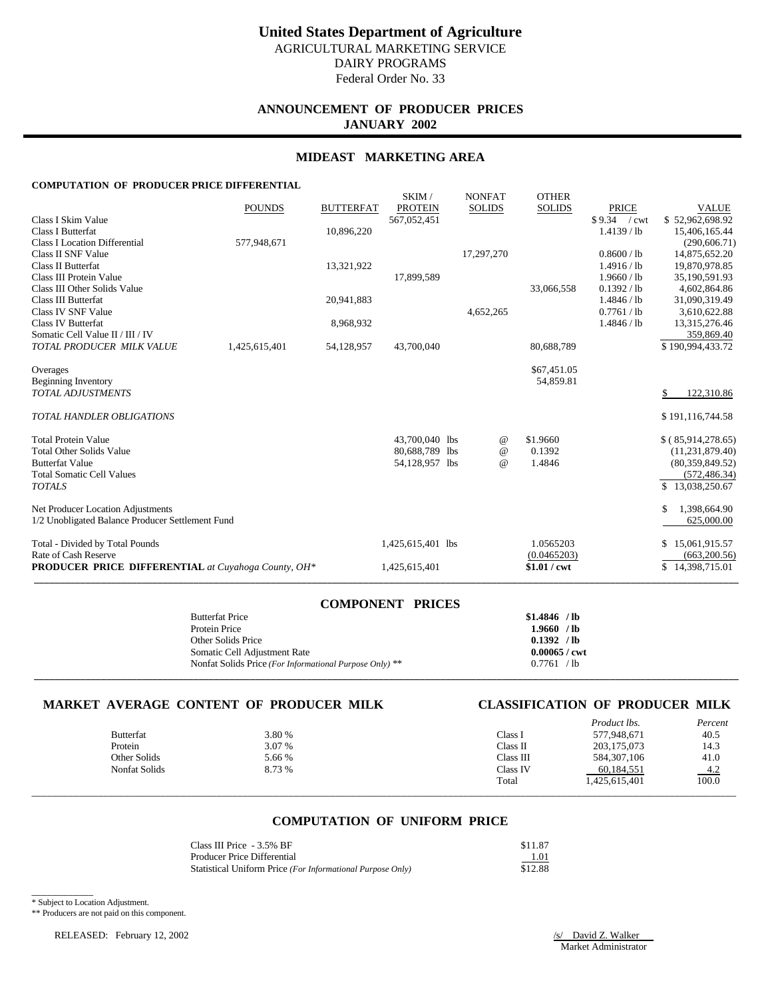# **ANNOUNCEMENT OF PRODUCER PRICES JANUARY 2002**

## **MIDEAST MARKETING AREA**

SKIM / NONEAT OTHER

## **COMPUTATION OF PRODUCER PRICE DIFFERENTIAL**

|                                                            |               |                  | <b>DIVIL</b>      | <b>INVINEAT</b> | UILLA         |                |                    |
|------------------------------------------------------------|---------------|------------------|-------------------|-----------------|---------------|----------------|--------------------|
|                                                            | <b>POUNDS</b> | <b>BUTTERFAT</b> | <b>PROTEIN</b>    | <b>SOLIDS</b>   | <b>SOLIDS</b> | <b>PRICE</b>   | <b>VALUE</b>       |
| Class I Skim Value                                         |               |                  | 567,052,451       |                 |               | \$9.34<br>/cwt | \$52,962,698.92    |
| <b>Class I Butterfat</b>                                   |               | 10,896,220       |                   |                 |               | $1.4139$ / lb  | 15,406,165.44      |
| <b>Class I Location Differential</b>                       | 577,948,671   |                  |                   |                 |               |                | (290, 606.71)      |
| Class II SNF Value                                         |               |                  |                   | 17,297,270      |               | 0.8600 / lb    | 14,875,652.20      |
| <b>Class II Butterfat</b>                                  |               | 13,321,922       |                   |                 |               | 1.4916 / lb    | 19,870,978.85      |
| Class III Protein Value                                    |               |                  | 17,899,589        |                 |               | 1.9660 / lb    | 35,190,591.93      |
| Class III Other Solids Value                               |               |                  |                   |                 | 33,066,558    | 0.1392 / lb    | 4,602,864.86       |
| Class III Butterfat                                        |               | 20,941,883       |                   |                 |               | 1.4846 / lb    | 31,090,319.49      |
| Class IV SNF Value                                         |               |                  |                   | 4,652,265       |               | 0.7761 / lb    | 3,610,622.88       |
| Class IV Butterfat                                         |               | 8,968,932        |                   |                 |               | 1.4846 / lb    | 13,315,276.46      |
| Somatic Cell Value II / III / IV                           |               |                  |                   |                 |               |                | 359,869.40         |
| TOTAL PRODUCER MILK VALUE                                  | 1,425,615,401 | 54,128,957       | 43,700,040        |                 | 80,688,789    |                | \$190,994,433.72   |
| Overages                                                   |               |                  |                   |                 | \$67,451.05   |                |                    |
| <b>Beginning Inventory</b>                                 |               |                  |                   |                 | 54,859.81     |                |                    |
| <b>TOTAL ADJUSTMENTS</b>                                   |               |                  |                   |                 |               |                | 122,310.86         |
| <b>TOTAL HANDLER OBLIGATIONS</b>                           |               |                  |                   |                 |               |                | \$191,116,744.58   |
| <b>Total Protein Value</b>                                 |               |                  | 43,700,040 lbs    | @               | \$1.9660      |                | \$(85,914,278.65)  |
| <b>Total Other Solids Value</b>                            |               |                  | 80,688,789 lbs    | $\omega$        | 0.1392        |                | (11, 231, 879.40)  |
| <b>Butterfat Value</b>                                     |               |                  | 54,128,957 lbs    | $\omega$        | 1.4846        |                | (80, 359, 849, 52) |
| <b>Total Somatic Cell Values</b>                           |               |                  |                   |                 |               |                | (572, 486.34)      |
| <b>TOTALS</b>                                              |               |                  |                   |                 |               |                | \$13,038,250.67    |
| Net Producer Location Adjustments                          |               |                  |                   |                 |               |                | 1,398,664.90<br>\$ |
| 1/2 Unobligated Balance Producer Settlement Fund           |               |                  |                   |                 |               |                | 625,000.00         |
| Total - Divided by Total Pounds                            |               |                  | 1,425,615,401 lbs |                 | 1.0565203     |                | \$15,061,915.57    |
| Rate of Cash Reserve                                       |               |                  |                   |                 | (0.0465203)   |                | (663, 200.56)      |
| <b>PRODUCER PRICE DIFFERENTIAL</b> at Cuyahoga County, OH* |               |                  | 1,425,615,401     |                 | $$1.01$ / cwt |                | \$14,398,715.01    |
|                                                            |               |                  |                   |                 |               |                |                    |

| <b>COMPONENT PRICES</b>                                 |                        |  |
|---------------------------------------------------------|------------------------|--|
| <b>Butterfat Price</b>                                  | $$1.4846$ /lb          |  |
| Protein Price                                           | $1.9660$ /lb           |  |
| Other Solids Price                                      | 0.1392 / lb            |  |
| Somatic Cell Adjustment Rate                            | $0.00065 / \text{cwt}$ |  |
| Nonfat Solids Price (For Informational Purpose Only) ** | 0.7761 / lb            |  |
|                                                         |                        |  |

## **MARKET AVERAGE CONTENT OF PRODUCER MILK CLASSIFICATION OF PRODUCER MILK**

| <b>Butterfat</b>     | 3.80 % | Class I   | <i>Product lbs.</i><br>577,948,671 | Percent<br>40.5     |
|----------------------|--------|-----------|------------------------------------|---------------------|
| Protein              | 3.07 % | Class II  | 203, 175, 073                      | 14.3                |
| Other Solids         | 5.66 % | Class III | 584, 307, 106                      | 41.0                |
| <b>Nonfat Solids</b> | 8.73 % | Class IV  | 60,184,551                         | $\frac{4.2}{100.0}$ |
|                      |        | Total     | 1,425,615,401                      |                     |
|                      |        |           |                                    |                     |

## **COMPUTATION OF UNIFORM PRICE**

| Class III Price - 3.5% BF                                  | \$11.87 |
|------------------------------------------------------------|---------|
| <b>Producer Price Differential</b>                         | 1.01    |
| Statistical Uniform Price (For Informational Purpose Only) | \$12.88 |

\_\_\_\_\_\_\_\_\_\_\_\_ \* Subject to Location Adjustment.

\*\* Producers are not paid on this component.

RELEASED: February 12, 2002 /s/ David Z. Walker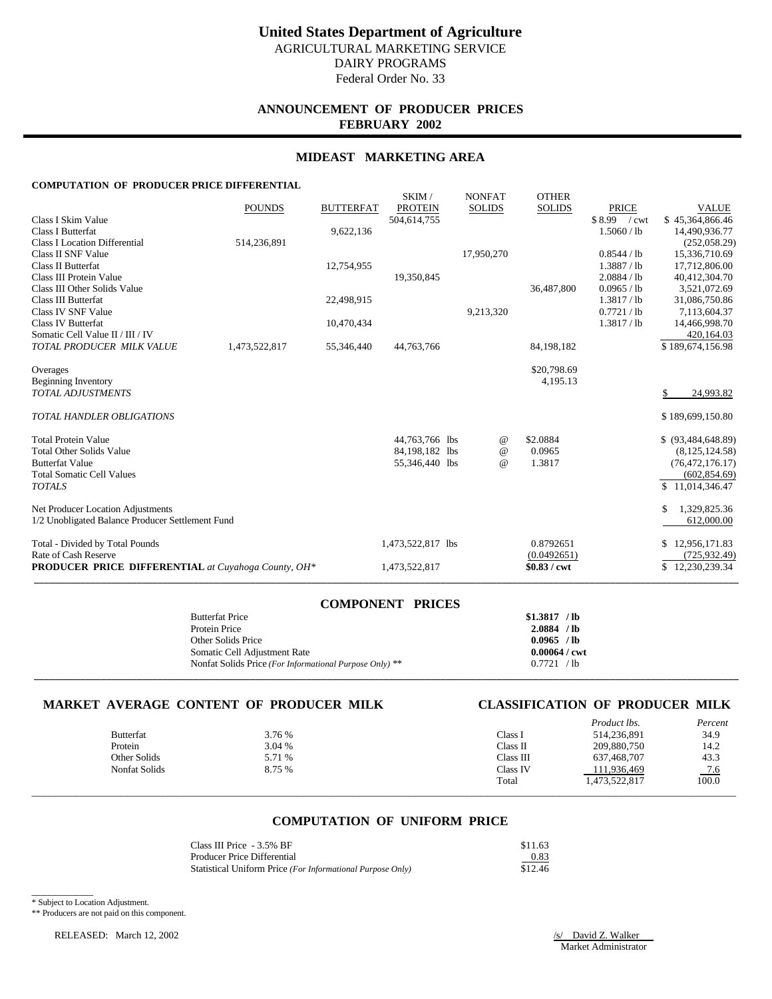# **ANNOUNCEMENT OF PRODUCER PRICES FEBRUARY 2002**

## **MIDEAST MARKETING AREA**

SKIM / NONEAT OTHER

## **COMPUTATION OF PRODUCER PRICE DIFFERENTIAL**

|                                                            |               |                  | <b>DIVIL</b>      | <b>INVINEAT</b> | UILLA         |                |                     |
|------------------------------------------------------------|---------------|------------------|-------------------|-----------------|---------------|----------------|---------------------|
|                                                            | <b>POUNDS</b> | <b>BUTTERFAT</b> | <b>PROTEIN</b>    | <b>SOLIDS</b>   | <b>SOLIDS</b> | <b>PRICE</b>   | <b>VALUE</b>        |
| Class I Skim Value                                         |               |                  | 504,614,755       |                 |               | \$8.99<br>/cwt | \$45,364,866.46     |
| <b>Class I Butterfat</b>                                   |               | 9,622,136        |                   |                 |               | 1.5060 / lb    | 14,490,936.77       |
| <b>Class I Location Differential</b>                       | 514,236,891   |                  |                   |                 |               |                | (252,058.29)        |
| Class II SNF Value                                         |               |                  |                   | 17,950,270      |               | 0.8544 / lb    | 15,336,710.69       |
| <b>Class II Butterfat</b>                                  |               | 12,754,955       |                   |                 |               | 1.3887 / lb    | 17,712,806.00       |
| Class III Protein Value                                    |               |                  | 19,350,845        |                 |               | 2.0884 / lb    | 40,412,304.70       |
| Class III Other Solids Value                               |               |                  |                   |                 | 36,487,800    | 0.0965 / lb    | 3,521,072.69        |
| Class III Butterfat                                        |               | 22,498,915       |                   |                 |               | 1.3817 / lb    | 31,086,750.86       |
| Class IV SNF Value                                         |               |                  |                   | 9,213,320       |               | 0.7721 / lb    | 7,113,604.37        |
| Class IV Butterfat                                         |               | 10,470,434       |                   |                 |               | 1.3817 / lb    | 14,466,998.70       |
| Somatic Cell Value II / III / IV                           |               |                  |                   |                 |               |                | 420,164.03          |
| TOTAL PRODUCER MILK VALUE                                  | 1,473,522,817 | 55,346,440       | 44,763,766        |                 | 84,198,182    |                | \$189,674,156.98    |
| Overages                                                   |               |                  |                   |                 | \$20,798.69   |                |                     |
| <b>Beginning Inventory</b>                                 |               |                  |                   |                 | 4,195.13      |                |                     |
| <b>TOTAL ADJUSTMENTS</b>                                   |               |                  |                   |                 |               |                | 24,993.82           |
| <b>TOTAL HANDLER OBLIGATIONS</b>                           |               |                  |                   |                 |               |                | \$189,699,150.80    |
| <b>Total Protein Value</b>                                 |               |                  | 44,763,766 lbs    | @               | \$2.0884      |                | $$$ (93,484,648.89) |
| <b>Total Other Solids Value</b>                            |               |                  | 84,198,182 lbs    | $\omega$        | 0.0965        |                | (8,125,124.58)      |
| <b>Butterfat Value</b>                                     |               |                  | 55,346,440 lbs    | $\omega$        | 1.3817        |                | (76, 472, 176.17)   |
| <b>Total Somatic Cell Values</b>                           |               |                  |                   |                 |               |                | (602, 854.69)       |
| <b>TOTALS</b>                                              |               |                  |                   |                 |               |                | \$11,014,346.47     |
| Net Producer Location Adjustments                          |               |                  |                   |                 |               |                | 1,329,825.36<br>\$  |
| 1/2 Unobligated Balance Producer Settlement Fund           |               |                  |                   |                 |               |                | 612,000.00          |
| Total - Divided by Total Pounds                            |               |                  | 1,473,522,817 lbs |                 | 0.8792651     |                | \$12,956,171.83     |
| Rate of Cash Reserve                                       |               |                  |                   |                 | (0.0492651)   |                | (725, 932, 49)      |
| <b>PRODUCER PRICE DIFFERENTIAL</b> at Cuyahoga County, OH* |               |                  | 1,473,522,817     |                 | $$0.83$ / cwt |                | \$12,230,239.34     |
|                                                            |               |                  |                   |                 |               |                |                     |

| <b>COMPONENT PRICES</b>                                   |                        |
|-----------------------------------------------------------|------------------------|
| <b>Butterfat Price</b>                                    | \$1.3817 / lb          |
| Protein Price                                             | 2.0884 / lb            |
| Other Solids Price                                        | $0.0965$ /lb           |
| Somatic Cell Adjustment Rate                              | $0.00064 / \text{cwt}$ |
| Nonfat Solids Price (For Informational Purpose Only) $**$ | 0.7721 / lb            |
|                                                           |                        |

## **MARKET AVERAGE CONTENT OF PRODUCER MILK CLASSIFICATION OF PRODUCER MILK**

| <b>Butterfat</b><br>Protein<br>Other Solids<br><b>Nonfat Solids</b> | 3.76 %<br>3.04 %<br>5.71 %<br>8.75 % | Class I<br>Class II<br>Class III<br>Class IV | <i>Product lbs.</i><br>514,236,891<br>209,880,750<br>637,468,707<br>111,936,469 | Percent<br>34.9<br>14.2<br>43.3<br>$\frac{7.6}{100.0}$ |
|---------------------------------------------------------------------|--------------------------------------|----------------------------------------------|---------------------------------------------------------------------------------|--------------------------------------------------------|
|                                                                     |                                      | Total                                        | 1,473,522,817                                                                   |                                                        |

## **COMPUTATION OF UNIFORM PRICE**

| Class III Price - 3.5% BF                                  | \$11.63 |
|------------------------------------------------------------|---------|
| Producer Price Differential                                | 0.83    |
| Statistical Uniform Price (For Informational Purpose Only) | \$12.46 |

\_\_\_\_\_\_\_\_\_\_\_\_ \* Subject to Location Adjustment.

\*\* Producers are not paid on this component.

RELEASED: March 12, 2002 /s/ David Z. Walker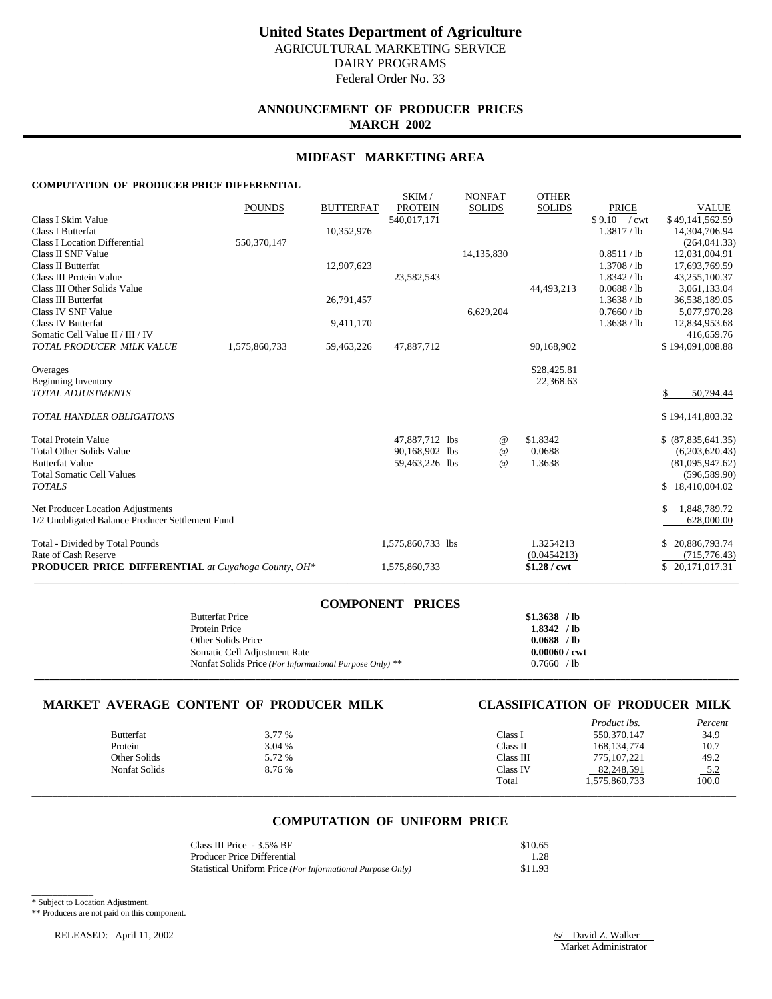# **ANNOUNCEMENT OF PRODUCER PRICES MARCH 2002**

## **MIDEAST MARKETING AREA**

SKIM / NONEAT OTHER

## **COMPUTATION OF PRODUCER PRICE DIFFERENTIAL**

|                                                            |               |                  | <b>OLAINL</b>     | <b>INVISIAL</b> | <b>OTTLE</b> N |               |                    |
|------------------------------------------------------------|---------------|------------------|-------------------|-----------------|----------------|---------------|--------------------|
|                                                            | <b>POUNDS</b> | <b>BUTTERFAT</b> | <b>PROTEIN</b>    | <b>SOLIDS</b>   | <b>SOLIDS</b>  | <b>PRICE</b>  | <b>VALUE</b>       |
| Class I Skim Value                                         |               |                  | 540,017,171       |                 |                | $$9.10$ / cwt | \$49,141,562.59    |
| <b>Class I Butterfat</b>                                   |               | 10,352,976       |                   |                 |                | 1.3817 / lb   | 14,304,706.94      |
| <b>Class I Location Differential</b>                       | 550,370,147   |                  |                   |                 |                |               | (264, 041.33)      |
| Class II SNF Value                                         |               |                  |                   | 14,135,830      |                | 0.8511 / lb   | 12,031,004.91      |
| Class II Butterfat                                         |               | 12,907,623       |                   |                 |                | 1.3708 / lb   | 17,693,769.59      |
| Class III Protein Value                                    |               |                  | 23,582,543        |                 |                | 1.8342 / lb   | 43,255,100.37      |
| Class III Other Solids Value                               |               |                  |                   |                 | 44,493,213     | 0.0688 / lb   | 3,061,133.04       |
| Class III Butterfat                                        |               | 26,791,457       |                   |                 |                | 1.3638 / lb   | 36,538,189.05      |
| Class IV SNF Value                                         |               |                  |                   | 6,629,204       |                | 0.7660 / lb   | 5,077,970.28       |
| <b>Class IV Butterfat</b>                                  |               | 9,411,170        |                   |                 |                | 1.3638 / lb   | 12,834,953.68      |
| Somatic Cell Value II / III / IV                           |               |                  |                   |                 |                |               | 416,659.76         |
| TOTAL PRODUCER MILK VALUE                                  | 1,575,860,733 | 59,463,226       | 47,887,712        |                 | 90,168,902     |               | \$194,091,008.88   |
|                                                            |               |                  |                   |                 | \$28,425.81    |               |                    |
| Overages<br><b>Beginning Inventory</b>                     |               |                  |                   |                 | 22,368.63      |               |                    |
| TOTAL ADJUSTMENTS                                          |               |                  |                   |                 |                |               | 50,794.44          |
|                                                            |               |                  |                   |                 |                |               |                    |
| <b>TOTAL HANDLER OBLIGATIONS</b>                           |               |                  |                   |                 |                |               | \$194,141,803.32   |
|                                                            |               |                  |                   |                 |                |               |                    |
| <b>Total Protein Value</b>                                 |               |                  | 47,887,712 lbs    | $\omega$        | \$1.8342       |               | \$ (87,835,641.35) |
| <b>Total Other Solids Value</b>                            |               |                  | 90,168,902 lbs    | $^{\omega}{}$   | 0.0688         |               | (6,203,620.43)     |
| <b>Butterfat Value</b>                                     |               |                  | 59,463,226 lbs    | $\omega$        | 1.3638         |               | (81,095,947.62)    |
| <b>Total Somatic Cell Values</b>                           |               |                  |                   |                 |                |               | (596, 589.90)      |
| <b>TOTALS</b>                                              |               |                  |                   |                 |                |               | \$18,410,004.02    |
| Net Producer Location Adjustments                          |               |                  |                   |                 |                |               | 1,848,789.72<br>\$ |
| 1/2 Unobligated Balance Producer Settlement Fund           |               |                  |                   |                 |                |               | 628,000.00         |
| Total - Divided by Total Pounds                            |               |                  | 1,575,860,733 lbs |                 | 1.3254213      |               | 20,886,793.74      |
| Rate of Cash Reserve                                       |               |                  |                   |                 | (0.0454213)    |               | (715, 776.43)      |
| <b>PRODUCER PRICE DIFFERENTIAL</b> at Cuyahoga County, OH* |               |                  | 1,575,860,733     |                 | $$1.28$ / cwt  |               | \$20,171,017.31    |
|                                                            |               |                  |                   |                 |                |               |                    |

| <b>COMPONENT PRICES</b>                                 |                        |
|---------------------------------------------------------|------------------------|
| <b>Butterfat Price</b>                                  | $$1.3638$ /lb          |
| Protein Price                                           | $1.8342$ /lb           |
| Other Solids Price                                      | 0.0688 / lb            |
| Somatic Cell Adjustment Rate                            | $0.00060 / \text{cwt}$ |
| Nonfat Solids Price (For Informational Purpose Only) ** | 0.7660 / lb            |
|                                                         |                        |

## **MARKET AVERAGE CONTENT OF PRODUCER MILK CLASSIFICATION OF PRODUCER MILK**

| <b>Butterfat</b>     | 3.77 % | Class I   | <i>Product lbs.</i><br>550,370,147 | Percent<br>34.9     |
|----------------------|--------|-----------|------------------------------------|---------------------|
| Protein              | 3.04 % | Class II  | 168, 134, 774                      | 10.7                |
| Other Solids         | 5.72 % | Class III | 775, 107, 221                      | 49.2                |
| <b>Nonfat Solids</b> | 8.76 % | Class IV  | 82,248,591                         |                     |
|                      |        | Total     | 1,575,860,733                      | $\frac{5.2}{100.0}$ |
|                      |        |           |                                    |                     |

## **COMPUTATION OF UNIFORM PRICE**

| Class III Price $-3.5\%$ BF                                | \$10.65 |
|------------------------------------------------------------|---------|
| Producer Price Differential                                | 1.28    |
| Statistical Uniform Price (For Informational Purpose Only) | \$11.93 |

\_\_\_\_\_\_\_\_\_\_\_\_ \* Subject to Location Adjustment.

\*\* Producers are not paid on this component.

RELEASED: April 11, 2002 /s/ David Z. Walker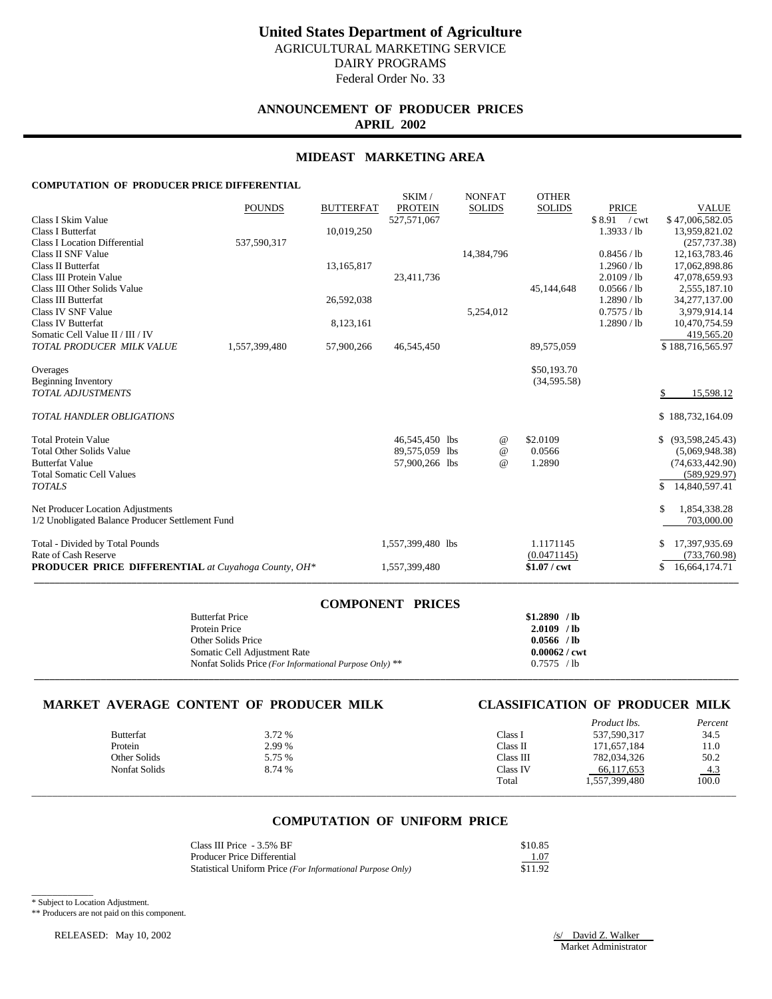Federal Order No. 33

# **ANNOUNCEMENT OF PRODUCER PRICES APRIL 2002**

## **MIDEAST MARKETING AREA**

SKIM / NONEAT OTHER

## **COMPUTATION OF PRODUCER PRICE DIFFERENTIAL**

|                                                            | <b>POUNDS</b> | <b>BUTTERFAT</b> | <b>OLAINL</b><br><b>PROTEIN</b> | <b>IVOIVEAT</b><br><b>SOLIDS</b> | <b>OTTLE</b> N<br><b>SOLIDS</b> | <b>PRICE</b>  | <b>VALUE</b>        |
|------------------------------------------------------------|---------------|------------------|---------------------------------|----------------------------------|---------------------------------|---------------|---------------------|
| Class I Skim Value                                         |               |                  | 527,571,067                     |                                  |                                 | $$8.91$ / cwt | \$47,006,582.05     |
| <b>Class I Butterfat</b>                                   |               | 10,019,250       |                                 |                                  |                                 | 1.3933 / lb   | 13,959,821.02       |
| <b>Class I Location Differential</b>                       | 537,590,317   |                  |                                 |                                  |                                 |               | (257, 737.38)       |
| Class II SNF Value                                         |               |                  |                                 | 14,384,796                       |                                 | 0.8456 / lb   | 12,163,783.46       |
| Class II Butterfat                                         |               | 13,165,817       |                                 |                                  |                                 | 1.2960 / lb   | 17,062,898.86       |
| Class III Protein Value                                    |               |                  | 23,411,736                      |                                  |                                 | 2.0109 / lb   | 47,078,659.93       |
| Class III Other Solids Value                               |               |                  |                                 |                                  | 45,144,648                      | 0.0566 / lb   | 2,555,187.10        |
| <b>Class III Butterfat</b>                                 |               | 26,592,038       |                                 |                                  |                                 | 1.2890 / lb   | 34,277,137.00       |
| Class IV SNF Value                                         |               |                  |                                 | 5,254,012                        |                                 | 0.7575 / lb   | 3,979,914.14        |
| <b>Class IV Butterfat</b>                                  |               | 8,123,161        |                                 |                                  |                                 | 1.2890 / lb   | 10,470,754.59       |
| Somatic Cell Value II / III / IV                           |               |                  |                                 |                                  |                                 |               | 419,565.20          |
| TOTAL PRODUCER MILK VALUE                                  | 1,557,399,480 | 57,900,266       | 46,545,450                      |                                  | 89,575,059                      |               | \$188,716,565.97    |
| Overages                                                   |               |                  |                                 |                                  | \$50,193.70                     |               |                     |
| <b>Beginning Inventory</b>                                 |               |                  |                                 |                                  | (34, 595.58)                    |               |                     |
| TOTAL ADJUSTMENTS                                          |               |                  |                                 |                                  |                                 |               | 15,598.12           |
| <b>TOTAL HANDLER OBLIGATIONS</b>                           |               |                  |                                 |                                  |                                 |               | \$188,732,164.09    |
| <b>Total Protein Value</b>                                 |               |                  | 46,545,450 lbs                  | $\omega$                         | \$2.0109                        |               | \$ (93,598,245.43)  |
| <b>Total Other Solids Value</b>                            |               |                  | 89,575,059 lbs                  | $\omega$                         | 0.0566                          |               | (5,069,948.38)      |
| <b>Butterfat Value</b>                                     |               |                  | 57,900,266 lbs                  | $\omega$                         | 1.2890                          |               | (74, 633, 442.90)   |
| <b>Total Somatic Cell Values</b>                           |               |                  |                                 |                                  |                                 |               | (589, 929.97)       |
| <b>TOTALS</b>                                              |               |                  |                                 |                                  |                                 |               | \$<br>14,840,597.41 |
| Net Producer Location Adjustments                          |               |                  |                                 |                                  |                                 |               | 1,854,338.28<br>S   |
| 1/2 Unobligated Balance Producer Settlement Fund           |               |                  |                                 |                                  |                                 |               | 703,000.00          |
| Total - Divided by Total Pounds                            |               |                  | 1,557,399,480 lbs               |                                  | 1.1171145                       |               | 17,397,935.69       |
| Rate of Cash Reserve                                       |               |                  |                                 |                                  | (0.0471145)                     |               | (733,760.98)        |
| <b>PRODUCER PRICE DIFFERENTIAL</b> at Cuyahoga County, OH* |               |                  | 1,557,399,480                   |                                  | $$1.07$ / cwt                   |               | 16,664,174.71<br>S  |
|                                                            |               |                  |                                 |                                  |                                 |               |                     |

| <b>COMPONENT PRICES</b>                                   |                        |
|-----------------------------------------------------------|------------------------|
| <b>Butterfat Price</b>                                    | $$1.2890$ /lb          |
| Protein Price                                             | $2.0109$ /lb           |
| Other Solids Price                                        | $0.0566$ /lb           |
| Somatic Cell Adjustment Rate                              | $0.00062 / \text{cwt}$ |
| Nonfat Solids Price (For Informational Purpose Only) $**$ | 0.7575 / lb            |
|                                                           |                        |

## **MARKET AVERAGE CONTENT OF PRODUCER MILK CLASSIFICATION OF PRODUCER MILK**

| <b>Butterfat</b>     | 3.72 % | Class I   | <i>Product lbs.</i><br>537,590,317 | Percent<br>34.5     |
|----------------------|--------|-----------|------------------------------------|---------------------|
| Protein              | 2.99 % | Class II  | 171,657,184                        | 11.0                |
| Other Solids         | 5.75 % | Class III | 782,034,326                        | 50.2                |
| <b>Nonfat Solids</b> | 8.74 % | Class IV  | 66,117,653                         |                     |
|                      |        | Total     | 1,557,399,480                      | $\frac{4.3}{100.0}$ |
|                      |        |           |                                    |                     |

## **COMPUTATION OF UNIFORM PRICE**

| Class III Price $-3.5\%$ BF                                | \$10.85 |
|------------------------------------------------------------|---------|
| Producer Price Differential                                | 1.07    |
| Statistical Uniform Price (For Informational Purpose Only) | \$11.92 |

\_\_\_\_\_\_\_\_\_\_\_\_ \* Subject to Location Adjustment.

\*\* Producers are not paid on this component.

RELEASED: May 10, 2002 /s/ David Z. Walker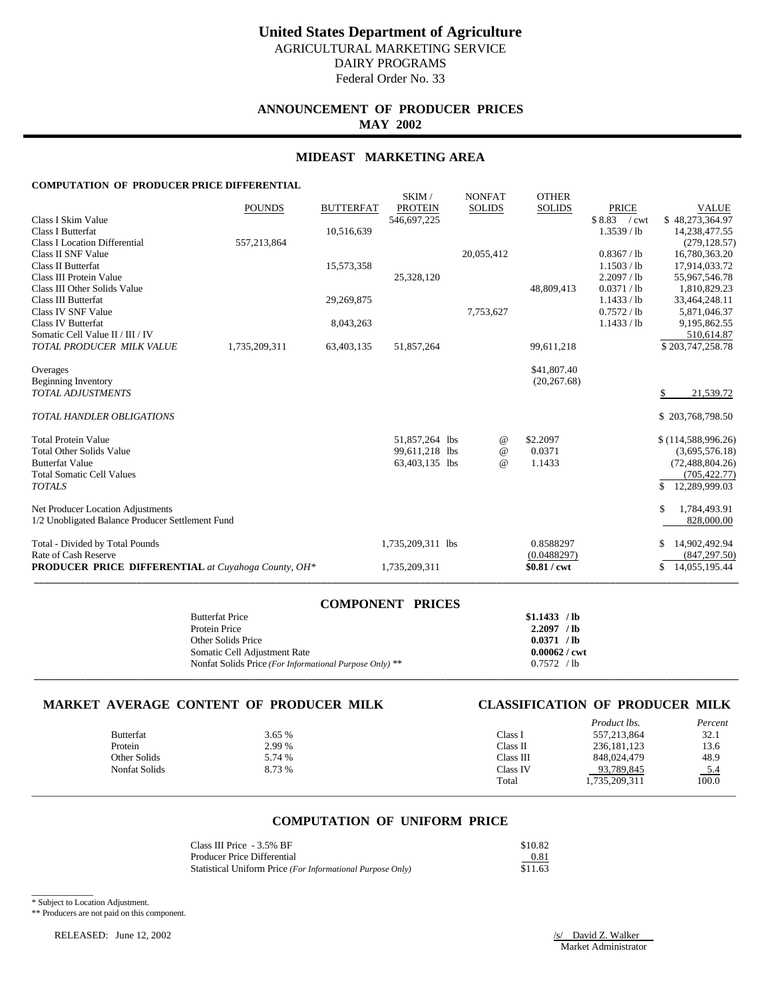Federal Order No. 33

## **ANNOUNCEMENT OF PRODUCER PRICES MAY 2002**

## **MIDEAST MARKETING AREA**

SKIM / NONEAT OTHER

## **COMPUTATION OF PRODUCER PRICE DIFFERENTIAL**

| <b>PRODUCER PRICE DIFFERENTIAL</b> at Cuyahoga County, OH*                                                    |               |                         | 1,735,209,311                    |                                  | \$0.81 / cwt                             |                                                          | 14,055,195.44<br>S                                               |
|---------------------------------------------------------------------------------------------------------------|---------------|-------------------------|----------------------------------|----------------------------------|------------------------------------------|----------------------------------------------------------|------------------------------------------------------------------|
| Total - Divided by Total Pounds<br>Rate of Cash Reserve                                                       |               |                         | 1,735,209,311 lbs                |                                  | 0.8588297<br>(0.0488297)                 |                                                          | 14,902,492.94<br>(847, 297.50)                                   |
| Net Producer Location Adjustments<br>1/2 Unobligated Balance Producer Settlement Fund                         |               |                         |                                  |                                  |                                          |                                                          | S<br>1,784,493.91<br>828,000.00                                  |
| <b>Butterfat Value</b><br><b>Total Somatic Cell Values</b><br><b>TOTALS</b>                                   |               |                         | 63,403,135 lbs                   |                                  | $\omega$<br>1.1433                       |                                                          | (72, 488, 804.26)<br>(705, 422.77)<br>\$<br>12,289,999.03        |
| <b>Total Protein Value</b><br><b>Total Other Solids Value</b>                                                 |               |                         | 51,857,264 lbs<br>99,611,218 lbs |                                  | \$2.2097<br>@<br>0.0371<br>$^{\omega}{}$ |                                                          | \$(114,588,996.26)<br>(3,695,576.18)                             |
| <b>TOTAL HANDLER OBLIGATIONS</b>                                                                              |               |                         |                                  |                                  |                                          |                                                          | \$203,768,798.50                                                 |
| Overages<br><b>Beginning Inventory</b><br><b>TOTAL ADJUSTMENTS</b>                                            |               |                         |                                  |                                  | \$41,807.40<br>(20, 267.68)              |                                                          | 21,539.72                                                        |
| Somatic Cell Value II / III / IV<br>TOTAL PRODUCER MILK VALUE                                                 | 1,735,209,311 | 63,403,135              | 51,857,264                       |                                  | 99,611,218                               |                                                          | 510,614.87<br>\$203,747,258.78                                   |
| Class III Other Solids Value<br><b>Class III Butterfat</b><br>Class IV SNF Value<br><b>Class IV Butterfat</b> |               | 29,269,875<br>8,043,263 |                                  | 7,753,627                        | 48,809,413                               | 0.0371 / lb<br>1.1433 / lb<br>0.7572 / lb<br>1.1433 / lb | 1,810,829.23<br>33,464,248.11<br>5,871,046.37<br>9,195,862.55    |
| Class II SNF Value<br>Class II Butterfat<br>Class III Protein Value                                           | 557,213,864   | 15,573,358              | 25,328,120                       | 20,055,412                       |                                          | 0.8367 / lb<br>1.1503 / lb<br>2.2097 / lb                | (279, 128.57)<br>16,780,363.20<br>17,914,033.72<br>55,967,546.78 |
| Class I Skim Value<br><b>Class I Butterfat</b><br><b>Class I Location Differential</b>                        |               | 10,516,639              | 546,697,225                      |                                  |                                          | \$8.83<br>/cwt<br>1.3539 / lb                            | \$48,273,364.97<br>14,238,477.55                                 |
|                                                                                                               | <b>POUNDS</b> | <b>BUTTERFAT</b>        | OIYUVI /<br><b>PROTEIN</b>       | <b>IVOIVLAI</b><br><b>SOLIDS</b> | UILLIN<br><b>SOLIDS</b>                  | <b>PRICE</b>                                             | <b>VALUE</b>                                                     |

| <b>COMPONENT PRICES</b>                                 |                        |
|---------------------------------------------------------|------------------------|
| <b>Butterfat Price</b>                                  | $$1.1433$ / lb         |
| Protein Price                                           | $2.2097$ /lb           |
| Other Solids Price                                      | 0.0371 / lb            |
| Somatic Cell Adjustment Rate                            | $0.00062 / \text{cwt}$ |
| Nonfat Solids Price (For Informational Purpose Only) ** | 0.7572 / lb            |
|                                                         |                        |

## **MARKET AVERAGE CONTENT OF PRODUCER MILK CLASSIFICATION OF PRODUCER MILK**

| <b>Butterfat</b>     | 3.65 % | Class I   | <i>Product lbs.</i><br>557,213,864 | Percent<br>32.1     |
|----------------------|--------|-----------|------------------------------------|---------------------|
| Protein              | 2.99 % | Class II  | 236, 181, 123                      | 13.6                |
| Other Solids         | 5.74 % | Class III | 848,024,479                        | 48.9                |
| <b>Nonfat Solids</b> | 8.73 % | Class IV  | 93,789,845                         | $\frac{5.4}{100.0}$ |
|                      |        | Total     | 1,735,209,311                      |                     |
|                      |        |           |                                    |                     |

## **COMPUTATION OF UNIFORM PRICE**

| Class III Price - 3.5% BF                                  | \$10.82 |
|------------------------------------------------------------|---------|
| Producer Price Differential                                | 0.81    |
| Statistical Uniform Price (For Informational Purpose Only) | \$11.63 |

\_\_\_\_\_\_\_\_\_\_\_\_ \* Subject to Location Adjustment.

\*\* Producers are not paid on this component.

RELEASED: June 12, 2002 /s/ David Z. Walker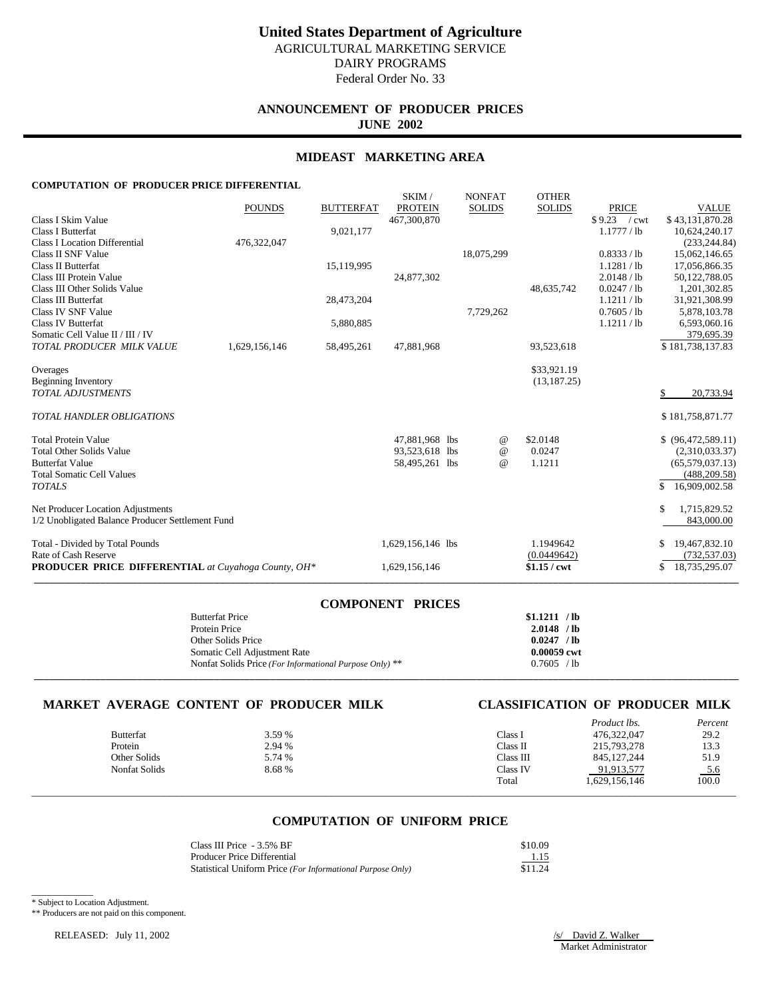**ANNOUNCEMENT OF PRODUCER PRICES JUNE 2002**

## **MIDEAST MARKETING AREA**

## **COMPUTATION OF PRODUCER PRICE DIFFERENTIAL**

|                                                            | <b>POUNDS</b> | <b>BUTTERFAT</b> | SKIM/<br><b>PROTEIN</b> | <b>NONFAT</b><br><b>SOLIDS</b> | <b>OTHER</b><br><b>SOLIDS</b> | <b>PRICE</b>                  | <b>VALUE</b>         |
|------------------------------------------------------------|---------------|------------------|-------------------------|--------------------------------|-------------------------------|-------------------------------|----------------------|
| Class I Skim Value                                         |               |                  | 467,300,870             |                                |                               | \$9.23<br>$\sqrt{\text{cwt}}$ | \$43,131,870.28      |
| <b>Class I Butterfat</b>                                   |               | 9,021,177        |                         |                                |                               | 1.1777 / lb                   | 10,624,240.17        |
| <b>Class I Location Differential</b>                       | 476,322,047   |                  |                         |                                |                               |                               | (233, 244, 84)       |
| Class II SNF Value                                         |               |                  |                         | 18,075,299                     |                               | 0.8333 / lb                   | 15,062,146.65        |
| <b>Class II Butterfat</b>                                  |               | 15,119,995       |                         |                                |                               | 1.1281 / lb                   | 17,056,866.35        |
| Class III Protein Value                                    |               |                  | 24,877,302              |                                |                               | 2.0148 / lb                   | 50,122,788.05        |
| Class III Other Solids Value                               |               |                  |                         |                                | 48,635,742                    | 0.0247 / lb                   | 1,201,302.85         |
| <b>Class III Butterfat</b>                                 |               | 28,473,204       |                         |                                |                               | 1.1211 / lb                   | 31,921,308.99        |
| Class IV SNF Value                                         |               |                  |                         | 7,729,262                      |                               | 0.7605 / lb                   | 5,878,103.78         |
| Class IV Butterfat                                         |               | 5,880,885        |                         |                                |                               | 1.1211/1b                     | 6,593,060.16         |
| Somatic Cell Value II / III / IV                           |               |                  |                         |                                |                               |                               | 379,695.39           |
| TOTAL PRODUCER MILK VALUE                                  | 1,629,156,146 | 58,495,261       | 47,881,968              |                                | 93,523,618                    |                               | \$181,738,137.83     |
|                                                            |               |                  |                         |                                | \$33,921.19                   |                               |                      |
| Overages                                                   |               |                  |                         |                                | (13, 187, 25)                 |                               |                      |
| <b>Beginning Inventory</b><br><b>TOTAL ADJUSTMENTS</b>     |               |                  |                         |                                |                               |                               | 20,733.94            |
|                                                            |               |                  |                         |                                |                               |                               |                      |
| <b>TOTAL HANDLER OBLIGATIONS</b>                           |               |                  |                         |                                |                               |                               | \$181,758,871.77     |
| <b>Total Protein Value</b>                                 |               |                  | 47,881,968 lbs          | $^{\circ}$                     | \$2.0148                      |                               | \$ (96,472,589.11)   |
| <b>Total Other Solids Value</b>                            |               |                  | 93,523,618 lbs          | $\omega$                       | 0.0247                        |                               | (2,310,033.37)       |
| <b>Butterfat Value</b>                                     |               |                  | 58,495,261 lbs          | $\omega$                       | 1.1211                        |                               | (65, 579, 037.13)    |
| <b>Total Somatic Cell Values</b>                           |               |                  |                         |                                |                               |                               | (488, 209.58)        |
| <b>TOTALS</b>                                              |               |                  |                         |                                |                               |                               | \$<br>16,909,002.58  |
| Net Producer Location Adjustments                          |               |                  |                         |                                |                               |                               | \$<br>1,715,829.52   |
| 1/2 Unobligated Balance Producer Settlement Fund           |               |                  |                         |                                |                               |                               | 843,000.00           |
| Total - Divided by Total Pounds                            |               |                  | 1,629,156,146 lbs       |                                | 1.1949642                     |                               | 19,467,832.10<br>\$. |
| Rate of Cash Reserve                                       |               |                  |                         |                                | (0.0449642)                   |                               | (732, 537.03)        |
| <b>PRODUCER PRICE DIFFERENTIAL</b> at Cuyahoga County, OH* |               |                  | 1,629,156,146           |                                | $$1.15$ / cwt                 |                               | 18,735,295.07<br>\$  |
|                                                            |               |                  |                         |                                |                               |                               |                      |

| <b>COMPONENT PRICES</b>                                 |               |
|---------------------------------------------------------|---------------|
| <b>Butterfat Price</b>                                  | \$1.1211 / lb |
| Protein Price                                           | $2.0148$ /lb  |
| Other Solids Price                                      | 0.0247 / lb   |
| Somatic Cell Adjustment Rate                            | $0.00059$ cwt |
| Nonfat Solids Price (For Informational Purpose Only) ** | 0.7605 / lb   |
|                                                         |               |

## **MARKET AVERAGE CONTENT OF PRODUCER MILK CLASSIFICATION OF PRODUCER MILK**

| <b>Butterfat</b><br>Protein<br>Other Solids | 3.59 %<br>2.94 %<br>5.74 % | Class I<br>Class II<br>Class III | <i>Product lbs.</i><br>476,322,047<br>215,793,278<br>845, 127, 244 | Percent<br>29.2<br>13.3<br>51.9 |
|---------------------------------------------|----------------------------|----------------------------------|--------------------------------------------------------------------|---------------------------------|
| <b>Nonfat Solids</b>                        | 8.68%                      | Class IV<br>Total                | 91,913,577<br>1,629,156,146                                        | $\frac{5.6}{100.0}$             |

## **COMPUTATION OF UNIFORM PRICE**

| Class III Price $-3.5\%$ BF                                | \$10.09 |
|------------------------------------------------------------|---------|
| Producer Price Differential                                | 1.15    |
| Statistical Uniform Price (For Informational Purpose Only) | \$11.24 |

\_\_\_\_\_\_\_\_\_\_\_\_ \* Subject to Location Adjustment.

\*\* Producers are not paid on this component.

RELEASED: July 11, 2002 /s/ David Z. Walker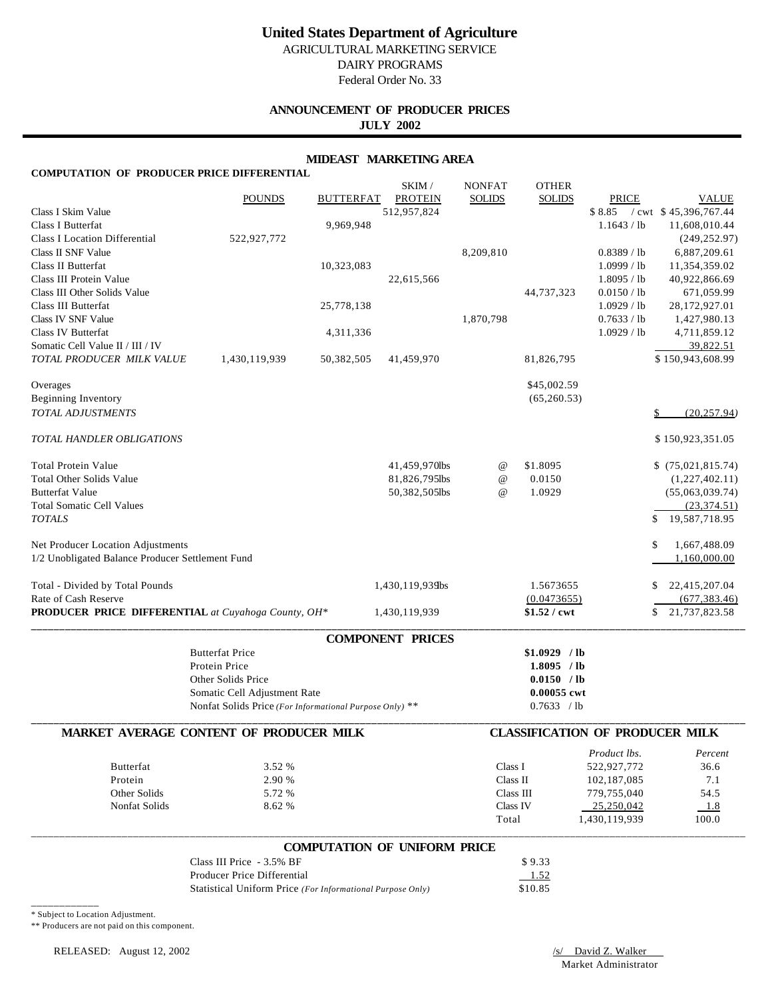# **United States Department of Agriculture**

AGRICULTURAL MARKETING SERVICE DAIRY PROGRAMS Federal Order No. 33

## **ANNOUNCEMENT OF PRODUCER PRICES JULY 2002**

## **MIDEAST MARKETING AREA**

| <b>COMPUTATION OF PRODUCER PRICE DIFFERENTIAL</b>                                     |                                                            |                  |                                     |                                 |                               |                                        |                                      |
|---------------------------------------------------------------------------------------|------------------------------------------------------------|------------------|-------------------------------------|---------------------------------|-------------------------------|----------------------------------------|--------------------------------------|
|                                                                                       | <b>POUNDS</b>                                              | <b>BUTTERFAT</b> | SKIM /<br><b>PROTEIN</b>            | <b>NONFAT</b><br><b>SOLIDS</b>  | <b>OTHER</b><br><b>SOLIDS</b> | PRICE                                  | <b>VALUE</b>                         |
| Class I Skim Value                                                                    |                                                            |                  | 512,957,824                         |                                 |                               | \$8.85                                 | $/$ cwt $$45,396,767.44$             |
| Class I Butterfat<br><b>Class I Location Differential</b>                             |                                                            | 9,969,948        |                                     |                                 |                               | 1.1643 / lb                            | 11,608,010.44                        |
|                                                                                       | 522,927,772                                                |                  |                                     |                                 |                               |                                        | (249, 252.97)                        |
| Class II SNF Value                                                                    |                                                            |                  |                                     | 8,209,810                       |                               | 0.8389 / lb                            | 6,887,209.61                         |
| Class II Butterfat                                                                    |                                                            | 10,323,083       |                                     |                                 |                               | 1.0999 / lb                            | 11,354,359.02                        |
| Class III Protein Value<br>Class III Other Solids Value                               |                                                            |                  | 22,615,566                          |                                 | 44,737,323                    | 1.8095 / lb<br>0.0150 / lb             | 40,922,866.69<br>671,059.99          |
| Class III Butterfat                                                                   |                                                            | 25,778,138       |                                     |                                 |                               | 1.0929 / lb                            | 28,172,927.01                        |
| Class IV SNF Value                                                                    |                                                            |                  |                                     | 1,870,798                       |                               | 0.7633 / lb                            | 1,427,980.13                         |
| Class IV Butterfat                                                                    |                                                            | 4,311,336        |                                     |                                 |                               | 1.0929 / lb                            | 4,711,859.12                         |
| Somatic Cell Value II / III / IV                                                      |                                                            |                  |                                     |                                 |                               |                                        | 39,822.51                            |
| TOTAL PRODUCER MILK VALUE                                                             | 1,430,119,939                                              | 50,382,505       | 41,459,970                          |                                 | 81,826,795                    |                                        | \$150,943,608.99                     |
| Overages                                                                              |                                                            |                  |                                     |                                 | \$45,002.59                   |                                        |                                      |
| Beginning Inventory                                                                   |                                                            |                  |                                     |                                 | (65,260.53)                   |                                        |                                      |
| <b>TOTAL ADJUSTMENTS</b>                                                              |                                                            |                  |                                     |                                 |                               |                                        | (20, 257.94)<br>\$                   |
| TOTAL HANDLER OBLIGATIONS                                                             |                                                            |                  |                                     |                                 |                               |                                        | \$150,923,351.05                     |
|                                                                                       |                                                            |                  |                                     |                                 |                               |                                        |                                      |
| <b>Total Protein Value</b>                                                            |                                                            |                  | 41,459,970lbs                       | $^{\scriptsize\textregistered}$ | \$1.8095                      |                                        | \$(75,021,815.74)                    |
| <b>Total Other Solids Value</b>                                                       |                                                            |                  | 81,826,795lbs                       | @                               | 0.0150                        |                                        | (1,227,402.11)                       |
| <b>Butterfat Value</b><br><b>Total Somatic Cell Values</b>                            |                                                            |                  | 50,382,505lbs                       | $^{\,a}$                        | 1.0929                        |                                        | (55,063,039.74)                      |
| <b>TOTALS</b>                                                                         |                                                            |                  |                                     |                                 |                               |                                        | (23, 374.51)<br>\$<br>19,587,718.95  |
|                                                                                       |                                                            |                  |                                     |                                 |                               |                                        |                                      |
| Net Producer Location Adjustments<br>1/2 Unobligated Balance Producer Settlement Fund |                                                            |                  |                                     |                                 |                               |                                        | 1,667,488.09<br>\$<br>1,160,000.00   |
| Total - Divided by Total Pounds<br>Rate of Cash Reserve                               |                                                            |                  | 1,430,119,939bs                     |                                 | 1.5673655<br>(0.0473655)      |                                        | 22,415,207.04<br>\$<br>(677, 383.46) |
| PRODUCER PRICE DIFFERENTIAL at Cuyahoga County, OH*                                   |                                                            |                  | 1,430,119,939                       |                                 | \$1.52 / cwt                  |                                        | 21,737,823.58                        |
|                                                                                       |                                                            |                  | <b>COMPONENT PRICES</b>             |                                 |                               |                                        |                                      |
|                                                                                       | <b>Butterfat Price</b>                                     |                  |                                     |                                 | $$1.0929$ / lb                |                                        |                                      |
|                                                                                       | Protein Price                                              |                  |                                     |                                 | $1.8095$ /lb                  |                                        |                                      |
|                                                                                       | Other Solids Price                                         |                  |                                     |                                 | 0.0150 / lb                   |                                        |                                      |
|                                                                                       | Somatic Cell Adjustment Rate                               |                  |                                     |                                 | 0.00055 cwt                   |                                        |                                      |
|                                                                                       | Nonfat Solids Price (For Informational Purpose Only) **    |                  |                                     |                                 | 0.7633 / lb                   |                                        |                                      |
|                                                                                       | MARKET AVERAGE CONTENT OF PRODUCER MILK                    |                  |                                     |                                 |                               | <b>CLASSIFICATION OF PRODUCER MILK</b> |                                      |
|                                                                                       |                                                            |                  |                                     |                                 |                               | Product lbs.                           | Percent                              |
| Butterfat                                                                             | 3.52 %                                                     |                  |                                     | Class I                         |                               | 522,927,772                            | 36.6                                 |
| Protein                                                                               | 2.90 %                                                     |                  |                                     | Class II                        |                               | 102,187,085                            | 7.1                                  |
| Other Solids                                                                          | 5.72 %                                                     |                  |                                     | Class III                       |                               | 779,755,040                            | 54.5                                 |
| Nonfat Solids                                                                         | 8.62 %                                                     |                  |                                     | Class IV<br>Total               |                               | 25,250,042<br>1,430,119,939            | 1.8<br>100.0                         |
|                                                                                       |                                                            |                  |                                     |                                 |                               |                                        |                                      |
|                                                                                       |                                                            |                  | <b>COMPUTATION OF UNIFORM PRICE</b> |                                 |                               |                                        |                                      |
|                                                                                       | Class III Price - 3.5% BF                                  |                  |                                     |                                 | \$9.33                        |                                        |                                      |
|                                                                                       | Producer Price Differential                                |                  |                                     |                                 | 1.52                          |                                        |                                      |
|                                                                                       | Statistical Uniform Price (For Informational Purpose Only) |                  |                                     |                                 | \$10.85                       |                                        |                                      |

\* Subject to Location Adjustment.

\*\* Producers are not paid on this component.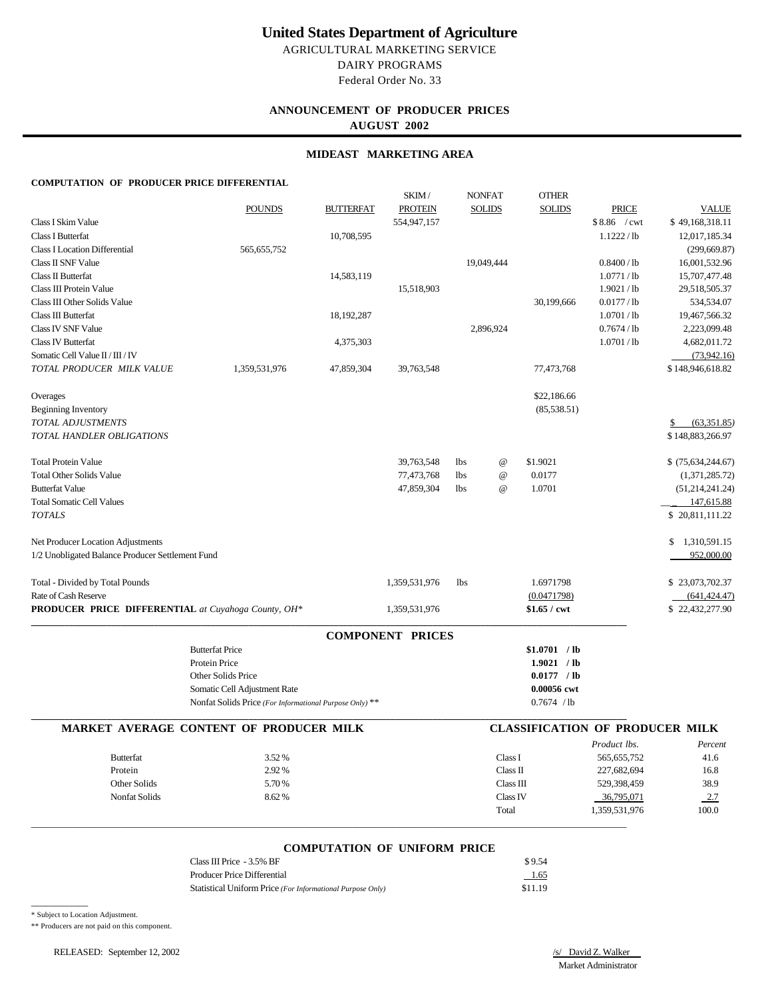# **United States Department of Agriculture**

AGRICULTURAL MARKETING SERVICE DAIRY PROGRAMS Federal Order No. 33

## **ANNOUNCEMENT OF PRODUCER PRICES AUGUST 2002**

## **MIDEAST MARKETING AREA**

### **COMPUTATION OF PRODUCER PRICE DIFFERENTIAL**

|                                                     |                                                         |                  | SKIM/                   | <b>NONFAT</b>                           | <b>OTHER</b>                           |                       |                     |
|-----------------------------------------------------|---------------------------------------------------------|------------------|-------------------------|-----------------------------------------|----------------------------------------|-----------------------|---------------------|
|                                                     | <b>POUNDS</b>                                           | <b>BUTTERFAT</b> | <b>PROTEIN</b>          | <b>SOLIDS</b>                           | <b>SOLIDS</b>                          | <b>PRICE</b>          | <b>VALUE</b>        |
| Class I Skim Value                                  |                                                         |                  | 554,947,157             |                                         |                                        | $$8.86$ / cwt         | \$49,168,318.11     |
| Class I Butterfat                                   |                                                         | 10,708,595       |                         |                                         |                                        | 1.1222 / lb           | 12,017,185.34       |
| <b>Class I Location Differential</b>                | 565,655,752                                             |                  |                         |                                         |                                        |                       | (299, 669.87)       |
| Class II SNF Value                                  |                                                         |                  |                         | 19,049,444                              |                                        | 0.8400/1b             | 16,001,532.96       |
| Class II Butterfat                                  |                                                         | 14,583,119       |                         |                                         |                                        | 1.0771/1b             | 15,707,477.48       |
| Class III Protein Value                             |                                                         |                  | 15,518,903              |                                         |                                        | 1.9021/1 <sub>b</sub> | 29,518,505.37       |
| Class III Other Solids Value                        |                                                         |                  |                         |                                         | 30,199,666                             | 0.0177/1b             | 534,534.07          |
| Class III Butterfat                                 |                                                         | 18, 192, 287     |                         |                                         |                                        | 1.0701/1 <sub>b</sub> | 19,467,566.32       |
| Class IV SNF Value                                  |                                                         |                  |                         | 2,896,924                               |                                        | 0.7674/1b             | 2,223,099.48        |
| <b>Class IV Butterfat</b>                           |                                                         | 4,375,303        |                         |                                         |                                        | 1.0701 / lb           | 4,682,011.72        |
| Somatic Cell Value II / III / IV                    |                                                         |                  |                         |                                         |                                        |                       | (73,942,16)         |
| TOTAL PRODUCER MILK VALUE                           | 1,359,531,976                                           | 47,859,304       | 39,763,548              |                                         | 77,473,768                             |                       | \$148,946,618.82    |
| Overages                                            |                                                         |                  |                         |                                         | \$22,186.66                            |                       |                     |
| <b>Beginning Inventory</b>                          |                                                         |                  |                         |                                         | (85,538.51)                            |                       |                     |
| TOTAL ADJUSTMENTS                                   |                                                         |                  |                         |                                         |                                        |                       | (63,351.85)         |
| TOTAL HANDLER OBLIGATIONS                           |                                                         |                  |                         |                                         |                                        |                       | \$148,883,266.97    |
| <b>Total Protein Value</b>                          |                                                         |                  | 39,763,548              | $^{\copyright}$<br><b>lbs</b>           | \$1.9021                               |                       | $$$ (75,634,244.67) |
| <b>Total Other Solids Value</b>                     |                                                         |                  | 77,473,768              | $^\text{\textregistered}$<br><b>lbs</b> | 0.0177                                 |                       | (1,371,285.72)      |
| <b>Butterfat Value</b>                              |                                                         |                  | 47,859,304              | <b>lbs</b><br>$\omega$                  | 1.0701                                 |                       | (51, 214, 241.24)   |
| <b>Total Somatic Cell Values</b>                    |                                                         |                  |                         |                                         |                                        |                       | 147,615.88          |
| <b>TOTALS</b>                                       |                                                         |                  |                         |                                         |                                        |                       | \$20,811,111.22     |
| Net Producer Location Adjustments                   |                                                         |                  |                         |                                         |                                        |                       | \$1,310,591.15      |
| 1/2 Unobligated Balance Producer Settlement Fund    |                                                         |                  |                         |                                         |                                        |                       | 952,000.00          |
| Total - Divided by Total Pounds                     |                                                         |                  | 1,359,531,976           | 1 <sub>bs</sub>                         | 1.6971798                              |                       | \$23,073,702.37     |
| Rate of Cash Reserve                                |                                                         |                  |                         |                                         | (0.0471798)                            |                       | (641, 424.47)       |
| PRODUCER PRICE DIFFERENTIAL at Cuyahoga County, OH* |                                                         |                  | 1,359,531,976           |                                         | $$1.65 /$ cwt                          |                       | \$22,432,277.90     |
|                                                     |                                                         |                  | <b>COMPONENT PRICES</b> |                                         |                                        |                       |                     |
|                                                     | <b>Butterfat Price</b>                                  |                  |                         |                                         | \$1.0701 / lb                          |                       |                     |
|                                                     | <b>Protein Price</b>                                    |                  |                         |                                         | 1.9021 / lb                            |                       |                     |
|                                                     | Other Solids Price                                      |                  |                         |                                         | $0.0177$ / lb                          |                       |                     |
|                                                     | Somatic Cell Adjustment Rate                            |                  |                         |                                         | 0.00056 cwt                            |                       |                     |
|                                                     | Nonfat Solids Price (For Informational Purpose Only) ** |                  |                         |                                         | 0.7674 / lb                            |                       |                     |
|                                                     | <b>MARKET AVERAGE CONTENT OF PRODUCER MILK</b>          |                  |                         |                                         | <b>CLASSIFICATION OF PRODUCER MILK</b> |                       |                     |
|                                                     |                                                         |                  |                         |                                         |                                        | Product lbs.          | Percent             |
| <b>Butterfat</b>                                    | 3.52%                                                   |                  |                         |                                         | Class I                                | 565,655,752           | 41.6                |
| Protein                                             | 2.92%                                                   |                  |                         |                                         | Class II                               | 227,682,694           | 16.8                |
| Other Solids                                        | 5.70%                                                   |                  |                         |                                         | Class III                              | 529,398,459           | 38.9                |
| <b>Nonfat Solids</b>                                | 8.62%                                                   |                  |                         |                                         | Class IV                               | 36,795,071            | 2.7                 |
|                                                     |                                                         |                  |                         | Total                                   |                                        | 1,359,531,976         | 100.0               |

## **COMPUTATION OF UNIFORM PRICE**

| Class III Price $-3.5\%$ BF                                | \$9.54  |
|------------------------------------------------------------|---------|
| Producer Price Differential                                | 1.65    |
| Statistical Uniform Price (For Informational Purpose Only) | \$11.19 |

 $\_$  , and the set of the set of the set of the set of the set of the set of the set of the set of the set of the set of the set of the set of the set of the set of the set of the set of the set of the set of the set of th

\* Subject to Location Adjustment.

 $\overline{\phantom{a}}$ 

\*\* Producers are not paid on this component.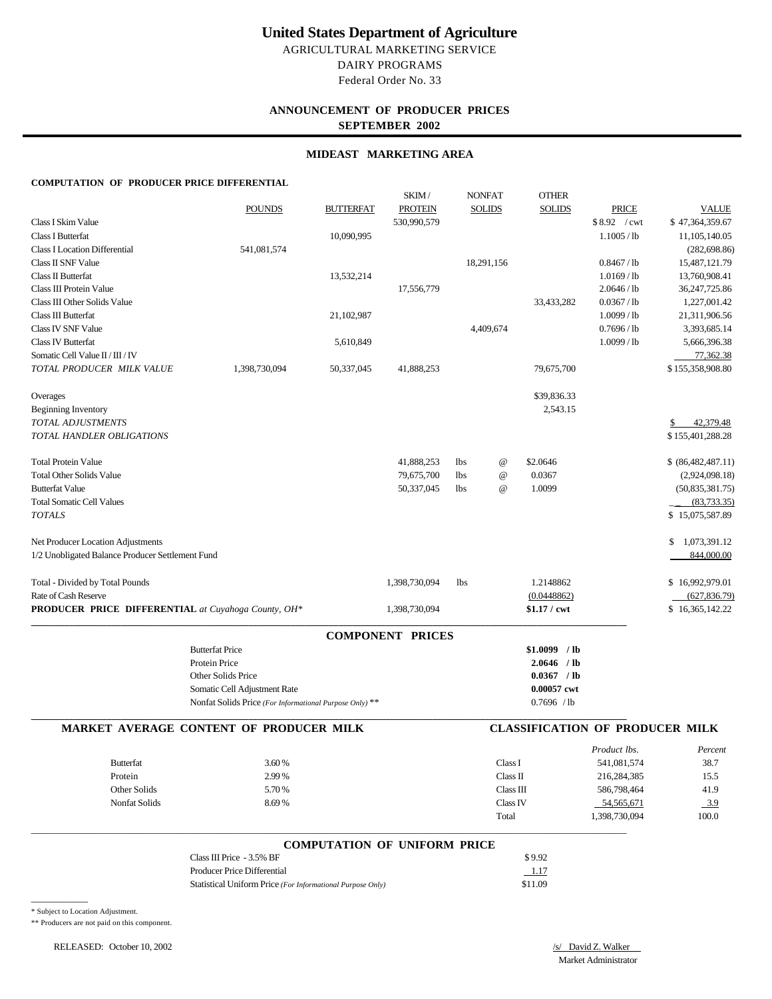# **United States Department of Agriculture**

AGRICULTURAL MARKETING SERVICE DAIRY PROGRAMS Federal Order No. 33

## **ANNOUNCEMENT OF PRODUCER PRICES SEPTEMBER 2002**

## **MIDEAST MARKETING AREA**

### **COMPUTATION OF PRODUCER PRICE DIFFERENTIAL**

|                                                            |                                                         |                  | SKIM/                               | <b>NONFAT</b> |                 | <b>OTHER</b>   |                                        |                    |
|------------------------------------------------------------|---------------------------------------------------------|------------------|-------------------------------------|---------------|-----------------|----------------|----------------------------------------|--------------------|
|                                                            | <b>POUNDS</b>                                           | <b>BUTTERFAT</b> | <b>PROTEIN</b>                      |               | <b>SOLIDS</b>   | <b>SOLIDS</b>  | <b>PRICE</b>                           | <b>VALUE</b>       |
| Class I Skim Value                                         |                                                         |                  | 530,990,579                         |               |                 |                | \$8.92 / cwt                           | \$47,364,359.67    |
| Class I Butterfat                                          |                                                         | 10,090,995       |                                     |               |                 |                | $1.1005$ / lb                          | 11,105,140.05      |
| <b>Class I Location Differential</b>                       | 541,081,574                                             |                  |                                     |               |                 |                |                                        | (282, 698.86)      |
| Class II SNF Value                                         |                                                         |                  |                                     |               | 18,291,156      |                | 0.8467 / lb                            | 15,487,121.79      |
| Class II Butterfat                                         |                                                         | 13,532,214       |                                     |               |                 |                | 1.0169/1b                              | 13,760,908.41      |
| Class III Protein Value                                    |                                                         |                  | 17,556,779                          |               |                 |                | 2.0646 / lb                            | 36, 247, 725.86    |
| Class III Other Solids Value                               |                                                         |                  |                                     |               |                 | 33,433,282     | 0.0367 / lb                            | 1,227,001.42       |
| Class III Butterfat                                        |                                                         | 21,102,987       |                                     |               |                 |                | 1.0099/1b                              | 21,311,906.56      |
| Class IV SNF Value                                         |                                                         |                  |                                     |               | 4,409,674       |                | 0.7696 / lb                            | 3,393,685.14       |
| <b>Class IV Butterfat</b>                                  |                                                         | 5,610,849        |                                     |               |                 |                | 1.0099/1b                              | 5,666,396.38       |
| Somatic Cell Value II / III / IV                           |                                                         |                  |                                     |               |                 |                |                                        | 77,362.38          |
| TOTAL PRODUCER MILK VALUE                                  | 1,398,730,094                                           | 50,337,045       | 41,888,253                          |               |                 | 79,675,700     |                                        | \$155,358,908.80   |
| Overages                                                   |                                                         |                  |                                     |               |                 | \$39,836.33    |                                        |                    |
| <b>Beginning Inventory</b>                                 |                                                         |                  |                                     |               |                 | 2,543.15       |                                        |                    |
| TOTAL ADJUSTMENTS                                          |                                                         |                  |                                     |               |                 |                |                                        | 42,379.48<br>S.    |
| TOTAL HANDLER OBLIGATIONS                                  |                                                         |                  |                                     |               |                 |                |                                        | \$155,401,288.28   |
| <b>Total Protein Value</b>                                 |                                                         |                  | 41,888,253                          | lbs           | @               | \$2.0646       |                                        | \$ (86,482,487.11) |
| <b>Total Other Solids Value</b>                            |                                                         |                  | 79,675,700                          | lbs           | @               | 0.0367         |                                        | (2,924,098.18)     |
| <b>Butterfat Value</b>                                     |                                                         |                  | 50,337,045                          | <b>lbs</b>    | $^{\copyright}$ | 1.0099         |                                        | (50, 835, 381.75)  |
| <b>Total Somatic Cell Values</b>                           |                                                         |                  |                                     |               |                 |                |                                        | (83, 733.35)       |
| <b>TOTALS</b>                                              |                                                         |                  |                                     |               |                 |                |                                        | \$15,075,587.89    |
| Net Producer Location Adjustments                          |                                                         |                  |                                     |               |                 |                |                                        | 1,073,391.12<br>\$ |
| 1/2 Unobligated Balance Producer Settlement Fund           |                                                         |                  |                                     |               |                 |                |                                        | 844,000.00         |
| Total - Divided by Total Pounds                            |                                                         |                  | 1,398,730,094                       | <b>lbs</b>    |                 | 1.2148862      |                                        | \$16,992,979.01    |
| Rate of Cash Reserve                                       |                                                         |                  |                                     |               |                 | (0.0448862)    |                                        | (627, 836.79)      |
| <b>PRODUCER PRICE DIFFERENTIAL</b> at Cuyahoga County, OH* |                                                         |                  | 1,398,730,094                       |               |                 | $$1.17 /$ cwt  |                                        | \$16,365,142.22    |
|                                                            |                                                         |                  | <b>COMPONENT PRICES</b>             |               |                 |                |                                        |                    |
|                                                            | <b>Butterfat Price</b>                                  |                  |                                     |               |                 | $$1.0099$ / lb |                                        |                    |
|                                                            | Protein Price                                           |                  |                                     |               |                 | $2.0646$ /lb   |                                        |                    |
|                                                            | Other Solids Price                                      |                  |                                     |               |                 | 0.0367 / lb    |                                        |                    |
|                                                            | Somatic Cell Adjustment Rate                            |                  |                                     |               |                 | 0.00057 cwt    |                                        |                    |
|                                                            | Nonfat Solids Price (For Informational Purpose Only) ** |                  |                                     |               |                 | 0.7696 / lb    |                                        |                    |
|                                                            | MARKET AVERAGE CONTENT OF PRODUCER MILK                 |                  |                                     |               |                 |                | <b>CLASSIFICATION OF PRODUCER MILK</b> |                    |
|                                                            |                                                         |                  |                                     |               |                 |                | Product lbs.                           | Percent            |
| <b>Butterfat</b>                                           | 3.60%                                                   |                  |                                     |               | Class I         |                | 541,081,574                            | 38.7               |
| Protein                                                    | 2.99%                                                   |                  |                                     |               | Class II        |                | 216,284,385                            | 15.5               |
| Other Solids                                               | 5.70%                                                   |                  |                                     |               | Class III       |                | 586,798,464                            | 41.9               |
| Nonfat Solids                                              | 8.69%                                                   |                  |                                     |               | Class IV        |                | 54,565,671                             | $-3.9$             |
|                                                            |                                                         |                  |                                     |               | Total           |                | 1,398,730,094                          | 100.0              |
|                                                            |                                                         |                  | <b>COMPUTATION OF UNIFORM PRICE</b> |               |                 |                |                                        |                    |

| COMI CHILION OI CIMI ORM I RICE                            |         |
|------------------------------------------------------------|---------|
| Class III Price $-3.5\%$ BF                                | \$9.92  |
| Producer Price Differential                                | 1.17    |
| Statistical Uniform Price (For Informational Purpose Only) | \$11.09 |

\* Subject to Location Adjustment.

 $\overline{\phantom{a}}$ 

\*\* Producers are not paid on this component.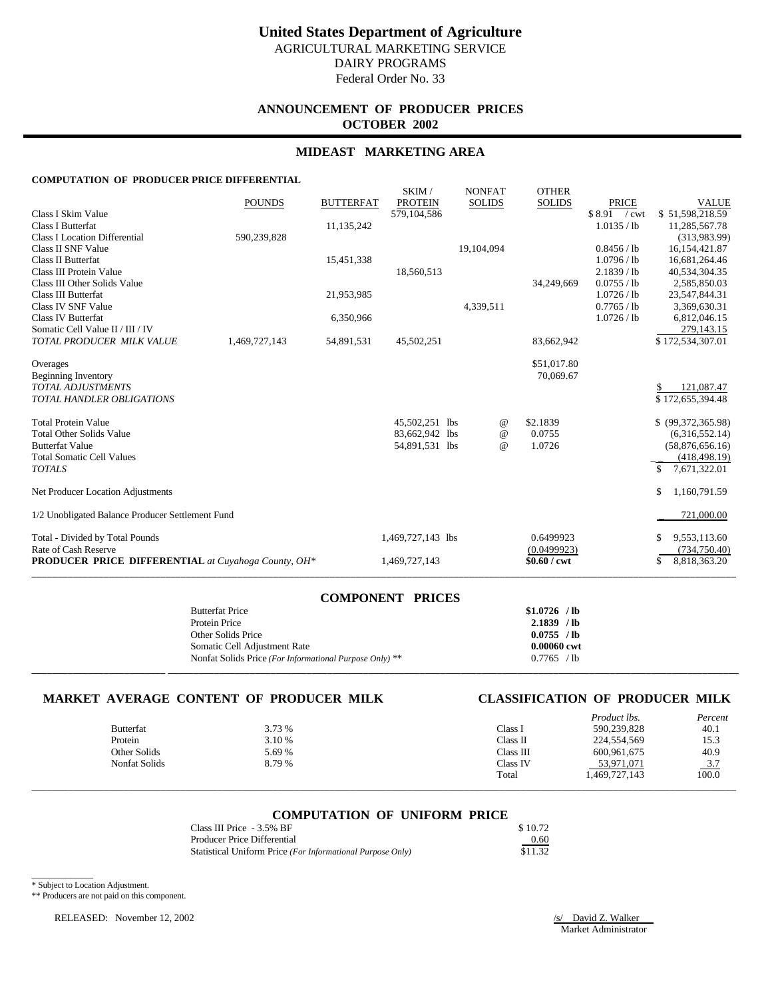# **ANNOUNCEMENT OF PRODUCER PRICES OCTOBER 2002**

## **MIDEAST MARKETING AREA**

## **COMPUTATION OF PRODUCER PRICE DIFFERENTIAL**

|                                                            |               |                  | SKIM/                           | <b>NONFAT</b> | <b>OTHER</b>  |                        |                                      |
|------------------------------------------------------------|---------------|------------------|---------------------------------|---------------|---------------|------------------------|--------------------------------------|
| Class I Skim Value                                         | <b>POUNDS</b> | <b>BUTTERFAT</b> | <b>PROTEIN</b><br>579, 104, 586 | <b>SOLIDS</b> | <b>SOLIDS</b> | PRICE<br>$$8.91$ / cwt | <b>VALUE</b><br>\$51,598,218.59      |
| Class I Butterfat                                          |               | 11,135,242       |                                 |               |               | 1.0135 / lb            | 11,285,567.78                        |
| <b>Class I Location Differential</b>                       | 590,239,828   |                  |                                 |               |               |                        | (313,983.99)                         |
| Class II SNF Value                                         |               |                  |                                 | 19,104,094    |               | 0.8456 / lb            | 16, 154, 421.87                      |
| Class II Butterfat                                         |               | 15,451,338       |                                 |               |               | 1.0796 / lb            | 16,681,264.46                        |
| Class III Protein Value                                    |               |                  | 18,560,513                      |               |               | 2.1839 / lb            | 40,534,304.35                        |
| Class III Other Solids Value                               |               |                  |                                 |               | 34,249,669    | 0.0755 / lb            | 2,585,850.03                         |
| <b>Class III Butterfat</b>                                 |               | 21,953,985       |                                 |               |               | 1.0726 / lb            | 23,547,844.31                        |
| Class IV SNF Value<br><b>Class IV Butterfat</b>            |               |                  |                                 | 4,339,511     |               | 0.7765 / lb            | 3,369,630.31                         |
| Somatic Cell Value II / III / IV                           |               | 6,350,966        |                                 |               |               | 1.0726 / lb            | 6,812,046.15<br>279,143.15           |
| TOTAL PRODUCER MILK VALUE                                  | 1,469,727,143 | 54,891,531       | 45,502,251                      |               | 83,662,942    |                        | \$172,534,307.01                     |
|                                                            |               |                  |                                 |               |               |                        |                                      |
| Overages                                                   |               |                  |                                 |               | \$51,017.80   |                        |                                      |
| <b>Beginning Inventory</b>                                 |               |                  |                                 |               | 70,069.67     |                        |                                      |
| <b>TOTAL ADJUSTMENTS</b><br>TOTAL HANDLER OBLIGATIONS      |               |                  |                                 |               |               |                        | 121,087.47<br>S.<br>\$172,655,394.48 |
|                                                            |               |                  |                                 |               |               |                        |                                      |
| <b>Total Protein Value</b>                                 |               |                  | 45,502,251 lbs                  | @             | \$2.1839      |                        | \$ (99,372,365.98)                   |
| <b>Total Other Solids Value</b>                            |               |                  | 83,662,942 lbs                  | @             | 0.0755        |                        | (6,316,552.14)                       |
| <b>Butterfat Value</b>                                     |               |                  | 54,891,531 lbs                  | $^{\,a}$      | 1.0726        |                        | (58,876,656.16)                      |
| <b>Total Somatic Cell Values</b>                           |               |                  |                                 |               |               |                        | (418, 498.19)                        |
| <b>TOTALS</b>                                              |               |                  |                                 |               |               |                        | \$<br>7,671,322.01                   |
| Net Producer Location Adjustments                          |               |                  |                                 |               |               |                        | \$<br>1,160,791.59                   |
| 1/2 Unobligated Balance Producer Settlement Fund           |               |                  |                                 |               |               |                        | 721,000.00                           |
| Total - Divided by Total Pounds                            |               |                  | 1,469,727,143 lbs               |               | 0.6499923     |                        | 9,553,113.60<br><b>S</b>             |
| Rate of Cash Reserve                                       |               |                  |                                 |               | (0.0499923)   |                        | (734, 750.40)                        |
| <b>PRODUCER PRICE DIFFERENTIAL</b> at Cuyahoga County, OH* |               |                  | 1,469,727,143                   |               | $$0.60 /$ cwt |                        | \$<br>8,818,363.20                   |

| COMPONENT PRICES                                        |               |
|---------------------------------------------------------|---------------|
| <b>Butterfat Price</b>                                  | $$1.0726$ /lb |
| Protein Price                                           | $2.1839$ /lb  |
| Other Solids Price                                      | 0.0755 / lb   |
| Somatic Cell Adjustment Rate                            | 0.00060 cwt   |
| Nonfat Solids Price (For Informational Purpose Only) ** | 0.7765 / lb   |
|                                                         |               |

**COMPONENT PRICES**

## **MARKET AVERAGE CONTENT OF PRODUCER MILK CLASSIFICATION OF PRODUCER MILK**

|                      |        |           | Product lbs.  | Percent             |
|----------------------|--------|-----------|---------------|---------------------|
| <b>Butterfat</b>     | 3.73 % | Class I   | 590,239,828   | 40.1                |
| Protein              | 3.10 % | Class II  | 224,554,569   | 15.3                |
| Other Solids         | 5.69 % | Class III | 600,961,675   | 40.9                |
| <b>Nonfat Solids</b> | 8.79%  | Class IV  | 53,971,071    | $\frac{3.7}{100.0}$ |
|                      |        | Total     | 1,469,727,143 |                     |
|                      |        |           |               |                     |

## **COMPUTATION OF UNIFORM PRICE**

| Class III Price - 3.5% BF                                  | \$10.72 |
|------------------------------------------------------------|---------|
| Producer Price Differential                                | 0.60    |
| Statistical Uniform Price (For Informational Purpose Only) | \$11.32 |

\* Subject to Location Adjustment.

\_\_\_\_\_\_\_\_\_\_\_\_

\*\* Producers are not paid on this component.

RELEASED: November 12, 2002 /s/ David Z. Walker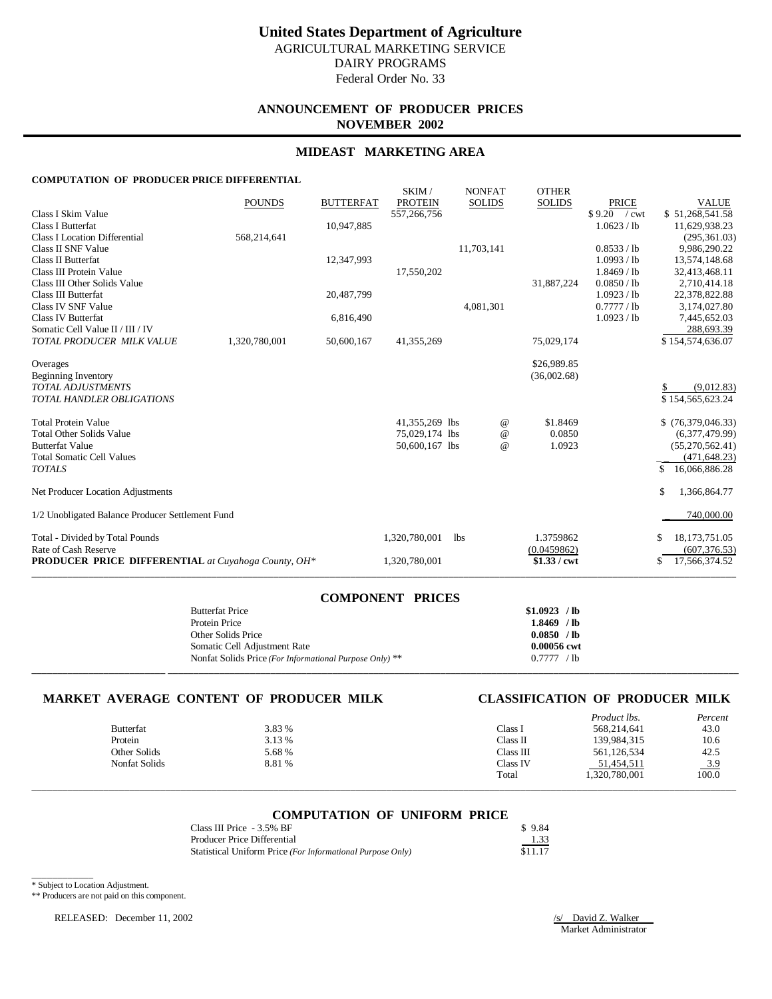# **ANNOUNCEMENT OF PRODUCER PRICES NOVEMBER 2002**

## **MIDEAST MARKETING AREA**

## **COMPUTATION OF PRODUCER PRICE DIFFERENTIAL**

|                                                            | <b>POUNDS</b> | <b>BUTTERFAT</b> | SKIM/<br><b>PROTEIN</b> |            | <b>NONFAT</b><br><b>SOLIDS</b> | <b>OTHER</b><br><b>SOLIDS</b> | PRICE                        | <b>VALUE</b>                  |
|------------------------------------------------------------|---------------|------------------|-------------------------|------------|--------------------------------|-------------------------------|------------------------------|-------------------------------|
| Class I Skim Value                                         |               |                  | 557,266,756             |            |                                |                               | \$9.20 / cwt                 | \$51,268,541.58               |
| <b>Class I Butterfat</b>                                   |               | 10,947,885       |                         |            |                                |                               | 1.0623 / lb                  | 11,629,938.23                 |
| <b>Class I Location Differential</b>                       | 568,214,641   |                  |                         |            |                                |                               |                              | (295, 361.03)                 |
| Class II SNF Value                                         |               |                  |                         | 11,703,141 |                                |                               | 0.8533 / lb                  | 9,986,290.22                  |
| Class II Butterfat                                         |               | 12,347,993       |                         |            |                                |                               | 1.0993 / lb                  | 13,574,148.68                 |
| Class III Protein Value<br>Class III Other Solids Value    |               |                  | 17,550,202              |            |                                | 31,887,224                    | $1.8469$ / lb<br>0.0850 / lb | 32,413,468.11<br>2,710,414.18 |
| Class III Butterfat                                        |               | 20,487,799       |                         |            |                                |                               | 1.0923 / lb                  | 22,378,822.88                 |
| Class IV SNF Value                                         |               |                  |                         | 4,081,301  |                                |                               | 0.7777/1                     | 3,174,027.80                  |
| <b>Class IV Butterfat</b>                                  |               | 6,816,490        |                         |            |                                |                               | 1.0923 / lb                  | 7,445,652.03                  |
| Somatic Cell Value II / III / IV                           |               |                  |                         |            |                                |                               |                              | 288,693.39                    |
| TOTAL PRODUCER MILK VALUE                                  | 1,320,780,001 | 50,600,167       | 41,355,269              |            |                                | 75,029,174                    |                              | \$154,574,636.07              |
|                                                            |               |                  |                         |            |                                |                               |                              |                               |
| Overages                                                   |               |                  |                         |            |                                | \$26,989.85                   |                              |                               |
| Beginning Inventory<br><b>TOTAL ADJUSTMENTS</b>            |               |                  |                         |            |                                | (36,002.68)                   |                              | (9,012.83)                    |
| <b>TOTAL HANDLER OBLIGATIONS</b>                           |               |                  |                         |            |                                |                               |                              | \$154,565,623.24              |
|                                                            |               |                  |                         |            |                                |                               |                              |                               |
| <b>Total Protein Value</b>                                 |               |                  | 41,355,269 lbs          |            | $^{\omega}{}$                  | \$1.8469                      |                              | \$(76,379,046.33)             |
| <b>Total Other Solids Value</b>                            |               |                  | 75,029,174 lbs          |            | $\omega$                       | 0.0850                        |                              | (6,377,479.99)                |
| <b>Butterfat Value</b>                                     |               |                  | 50,600,167 lbs          |            | $\omega$                       | 1.0923                        |                              | (55, 270, 562.41)             |
| <b>Total Somatic Cell Values</b>                           |               |                  |                         |            |                                |                               |                              | (471, 648.23)                 |
| <b>TOTALS</b>                                              |               |                  |                         |            |                                |                               |                              | 16,066,886.28<br>S            |
| Net Producer Location Adjustments                          |               |                  |                         |            |                                |                               |                              | 1,366,864.77<br>S.            |
| 1/2 Unobligated Balance Producer Settlement Fund           |               |                  |                         |            |                                |                               |                              | 740,000.00                    |
| Total - Divided by Total Pounds                            |               |                  | 1,320,780,001           | <b>lbs</b> |                                | 1.3759862                     |                              | 18, 173, 751.05<br>S          |
| Rate of Cash Reserve                                       |               |                  |                         |            |                                | (0.0459862)                   |                              | (607, 376.53)                 |
| <b>PRODUCER PRICE DIFFERENTIAL</b> at Cuyahoga County, OH* |               |                  | 1,320,780,001           |            |                                | $$1.33 /$ cwt                 |                              | 17,566,374.52<br>\$           |
|                                                            |               |                  |                         |            |                                |                               |                              |                               |

| COMPONENT PRICES                                        |               |
|---------------------------------------------------------|---------------|
| <b>Butterfat Price</b>                                  | $$1.0923$ /lb |
| Protein Price                                           | $1.8469$ /lb  |
| Other Solids Price                                      | 0.0850 / lb   |
| Somatic Cell Adjustment Rate                            | 0.00056 cwt   |
| Nonfat Solids Price (For Informational Purpose Only) ** | 0.7777 / lb   |
|                                                         |               |

**COMPONENT PRICES**

## **MARKET AVERAGE CONTENT OF PRODUCER MILK CLASSIFICATION OF PRODUCER MILK**

|                      |        |           | Product lbs.  | Percent             |
|----------------------|--------|-----------|---------------|---------------------|
| <b>Butterfat</b>     | 3.83 % | Class 1   | 568,214,641   | 43.0                |
| Protein              | 3.13 % | Class II  | 139,984,315   | 10.6                |
| Other Solids         | 5.68 % | Class III | 561,126,534   | 42.5                |
| <b>Nonfat Solids</b> | 8.81 % | Class IV  | 51,454,511    |                     |
|                      |        | Total     | 1,320,780,001 | $\frac{3.9}{100.0}$ |
|                      |        |           |               |                     |

## **COMPUTATION OF UNIFORM PRICE**

| Class III Price - 3.5% BF                                  | \$9.84  |
|------------------------------------------------------------|---------|
| Producer Price Differential                                | 1.33    |
| Statistical Uniform Price (For Informational Purpose Only) | \$11.17 |

\* Subject to Location Adjustment.

\_\_\_\_\_\_\_\_\_\_\_\_

\*\* Producers are not paid on this component.

RELEASED: December 11, 2002 /s/ David Z. Walker